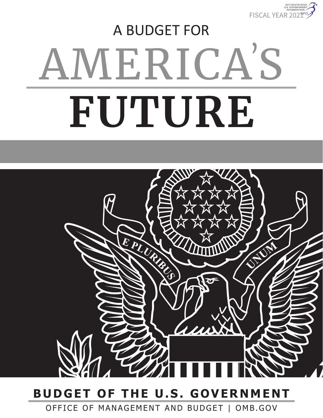

# A BUDGET FOR AMERICA' S **FUTURE**



# **BUDGET OF THE U.S. GOVERNMENT**

OFFICE OF MANAGEMENT AND BUDGET | OMB.GOV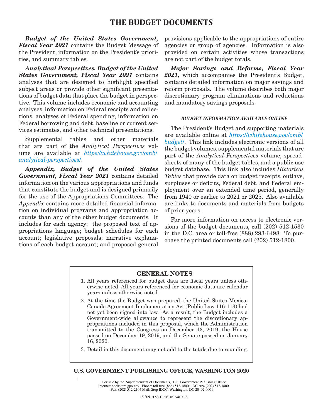### **THE BUDGET DOCUMENTS**

*Budget of the United States Government, Fiscal Year 2021* contains the Budget Message of the President, information on the President's priorities, and summary tables.

*Analytical Perspectives, Budget of the United States Government, Fiscal Year 2021* contains analyses that are designed to highlight specified subject areas or provide other significant presentations of budget data that place the budget in perspective. This volume includes economic and accounting analyses, information on Federal receipts and collections, analyses of Federal spending, information on Federal borrowing and debt, baseline or current services estimates, and other technical presentations.

Supplemental tables and other materials that are part of the *Analytical Perspectives* volume are available at *https://whitehouse.gov/omb/ analytical-perspectives/*.

*Appendix, Budget of the United States Government, Fiscal Year 2021* contains detailed information on the various appropriations and funds that constitute the budget and is designed primarily for the use of the Appropriations Committees. The *Appendix* contains more detailed financial information on individual programs and appropriation accounts than any of the other budget documents. It includes for each agency: the proposed text of appropriations language; budget schedules for each account; legislative proposals; narrative explanations of each budget account; and proposed general

provisions applicable to the appropriations of entire agencies or group of agencies. Information is also provided on certain activities whose transactions are not part of the budget totals.

*Major Savings and Reforms, Fiscal Year 2021,* which accompanies the President's Budget, contains detailed information on major savings and reform proposals. The volume describes both major discretionary program eliminations and reductions and mandatory savings proposals.

#### *BUDGET INFORMATION AVAILABLE ONLINE*

The President's Budget and supporting materials are available online at *https://whitehouse.gov/omb/ budget/*. This link includes electronic versions of all the budget volumes, supplemental materials that are part of the *Analytical Perspectives* volume, spreadsheets of many of the budget tables, and a public use budget database. This link also includes *Historical Tables* that provide data on budget receipts, outlays, surpluses or deficits, Federal debt, and Federal employment over an extended time period, generally from 1940 or earlier to 2021 or 2025. Also available are links to documents and materials from budgets of prior years.

For more information on access to electronic versions of the budget documents, call (202) 512-1530 in the D.C. area or toll-free (888) 293-6498. To purchase the printed documents call (202) 512-1800.

#### GENERAL NOTES

- 1. All years referenced for budget data are fiscal years unless otherwise noted. All years referenced for economic data are calendar years unless otherwise noted.
- 2. At the time the Budget was prepared, the United States-Mexico-Canada Agreement Implementation Act (Public Law 116-113) had not yet been signed into law. As a result, the Budget includes a Government-wide allowance to represent the discretionary appropriations included in this proposal, which the Administration transmitted to the Congress on December 13, 2019, the House passed on December 19, 2019, and the Senate passed on January 16, 2020.
- 3. Detail in this document may not add to the totals due to rounding.

#### U.S. GOVERNMENT PUBLISHING OFFICE, WASHINGTON 2020

For sale by the Superintendent of Documents, U.S. Government Publishing Office Internet: bookstore.gpo.gov Phone: toll free (866) 512-1800; DC area (202) 512-1800<br>Fax: (202) 512-2104 Mail: Stop IDCC, Washington, DC 20402-0001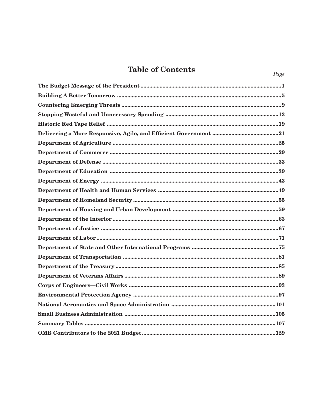## **Table of Contents**

Page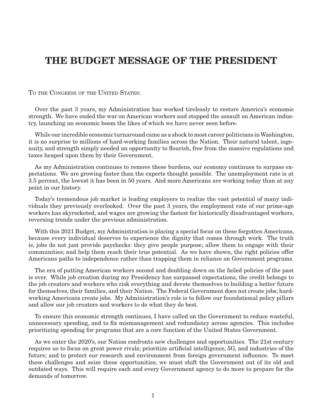# THE BUDGET MESSAGE OF THE PRESIDENT

TO THE CONGRESS OF THE UNITED STATES:

Over the past 3 years, my Administration has worked tirelessly to restore America's economic strength. We have ended the war on American workers and stopped the assault on American industry, launching an economic boom the likes of which we have never seen before.

While our incredible economic turnaround came as a shock to most career politicians in Washington, it is no surprise to millions of hard-working families across the Nation. Their natural talent, ingenuity, and strength simply needed an opportunity to flourish, free from the massive regulations and taxes heaped upon them by their Government.

As my Administration continues to remove these burdens, our economy continues to surpass expectations. We are growing faster than the experts thought possible. The unemployment rate is at 3.5 percent, the lowest it has been in 50 years. And more Americans are working today than at any point in our history.

Today's tremendous job market is leading employers to realize the vast potential of many individuals they previously overlooked. Over the past 3 years, the employment rate of our prime-age workers has skyrocketed, and wages are growing the fastest for historically disadvantaged workers, reversing trends under the previous administration.

With this 2021 Budget, my Administration is placing a special focus on these forgotten Americans, because every individual deserves to experience the dignity that comes through work. The truth is, jobs do not just provide paychecks: they give people purpose; allow them to engage with their communities; and help them reach their true potential. As we have shown, the right policies offer Americans paths to independence rather than trapping them in reliance on Government programs.

The era of putting American workers second and doubling down on the failed policies of the past is over. While job creation during my Presidency has surpassed expectations, the credit belongs to the job creators and workers who risk everything and devote themselves to building a better future for themselves, their families, and their Nation. The Federal Government does not create jobs; hardworking Americans create jobs. My Administration's role is to follow our foundational policy pillars and allow our job creators and workers to do what they do best.

To ensure this economic strength continues, I have called on the Government to reduce wasteful, unnecessary spending, and to fix mismanagement and redundancy across agencies. This includes prioritizing spending for programs that are a core function of the United States Government.

As we enter the 2020's, our Nation confronts new challenges and opportunities. The 21st century requires us to focus on great power rivals; prioritize artificial intelligence, 5G, and industries of the future; and to protect our research and environment from foreign government influence. To meet these challenges and seize these opportunities, we must shift the Government out of its old and outdated ways. This will require each and every Government agency to do more to prepare for the demands of tomorrow.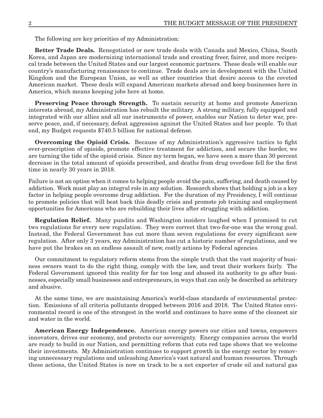The following are key priorities of my Administration:

Better Trade Deals. Renegotiated or new trade deals with Canada and Mexico, China, South Korea, and Japan are modernizing international trade and creating freer, fairer, and more reciprocal trade between the United States and our largest economic partners. These deals will enable our country's manufacturing renaissance to continue. Trade deals are in development with the United Kingdom and the European Union, as well as other countries that desire access to the coveted American market. These deals will expand American markets abroad and keep businesses here in America, which means keeping jobs here at home.

**Preserving Peace through Strength.** To sustain security at home and promote American interests abroad, my Administration has rebuilt the military. A strong military, fully equipped and integrated with our allies and all our instruments of power, enables our Nation to deter war, preserve peace, and, if necessary, defeat aggression against the United States and her people. To that end, my Budget requests \$740.5 billion for national defense.

Overcoming the Opioid Crisis. Because of my Administration's aggressive tactics to fight over-prescription of opioids, promote effective treatment for addiction, and secure the border, we are turning the tide of the opioid crisis. Since my term began, we have seen a more than 30 percent decrease in the total amount of opioids prescribed, and deaths from drug overdose fell for the first time in nearly 30 years in 2018.

Failure is not an option when it comes to helping people avoid the pain, suffering, and death caused by addiction. Work must play an integral role in any solution. Research shows that holding a job is a key factor in helping people overcome drug addiction. For the duration of my Presidency, I will continue to promote policies that will beat back this deadly crisis and promote job training and employment opportunities for Americans who are rebuilding their lives after struggling with addiction.

**Regulation Relief.** Many pundits and Washington insiders laughed when I promised to cut two regulations for every new regulation. They were correct that two-for-one was the wrong goal. Instead, the Federal Government has cut more than seven regulations for every significant new regulation. After only 3 years, my Administration has cut a historic number of regulations, and we have put the brakes on an endless assault of new, costly actions by Federal agencies.

Our commitment to regulatory reform stems from the simple truth that the vast majority of business owners want to do the right thing, comply with the law, and treat their workers fairly. The Federal Government ignored this reality for far too long and abused its authority to go after businesses, especially small businesses and entrepreneurs, in ways that can only be described as arbitrary and abusive.

At the same time, we are maintaining America's world-class standards of environmental protection. Emissions of all criteria pollutants dropped between 2016 and 2018. The United States environmental record is one of the strongest in the world and continues to have some of the cleanest air and water in the world.

American Energy Independence. American energy powers our cities and towns, empowers innovators, drives our economy, and protects our sovereignty. Energy companies across the world are ready to build in our Nation, and permitting reform that cuts red tape shows that we welcome their investments. My Administration continues to support growth in the energy sector by removing unnecessary regulations and unleashing America's vast natural and human resources. Through these actions, the United States is now on track to be a net exporter of crude oil and natural gas